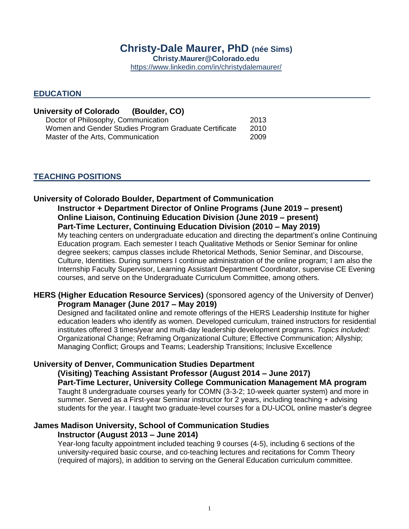# **Christy-Dale Maurer, PhD (née Sims) Christy.Maurer@Colorado.edu**  <https://www.linkedin.com/in/christydalemaurer/>

## **EDUCATION**

| <b>University of Colorado</b><br>(Boulder, CO)        |      |  |
|-------------------------------------------------------|------|--|
| Doctor of Philosophy, Communication                   | 2013 |  |
| Women and Gender Studies Program Graduate Certificate | 2010 |  |
| Master of the Arts, Communication                     | 2009 |  |

# **TEACHING POSITIONS**

# **University of Colorado Boulder, Department of Communication Instructor + Department Director of Online Programs (June 2019 – present) Online Liaison, Continuing Education Division (June 2019 – present) Part-Time Lecturer, Continuing Education Division (2010 – May 2019)**

My teaching centers on undergraduate education and directing the department's online Continuing Education program. Each semester I teach Qualitative Methods or Senior Seminar for online degree seekers; campus classes include Rhetorical Methods, Senior Seminar, and Discourse, Culture, Identities. During summers I continue administration of the online program; I am also the Internship Faculty Supervisor, Learning Assistant Department Coordinator, supervise CE Evening courses, and serve on the Undergraduate Curriculum Committee, among others.

# **HERS (Higher Education Resource Services)** (sponsored agency of the University of Denver) **Program Manager (June 2017 – May 2019)**

Designed and facilitated online and remote offerings of the HERS Leadership Institute for higher education leaders who identify as women. Developed curriculum, trained instructors for residential institutes offered 3 times/year and multi-day leadership development programs. *Topics included:* Organizational Change; Reframing Organizational Culture; Effective Communication; Allyship; Managing Conflict; Groups and Teams; Leadership Transitions; Inclusive Excellence

## **University of Denver, Communication Studies Department**

**(Visiting) Teaching Assistant Professor (August 2014 – June 2017)**

**Part-Time Lecturer, University College Communication Management MA program** Taught 8 undergraduate courses yearly for COMN (3-3-2; 10-week quarter system) and more in summer. Served as a First-year Seminar instructor for 2 years, including teaching + advising students for the year. I taught two graduate-level courses for a DU-UCOL online master's degree

# **James Madison University, School of Communication Studies Instructor (August 2013 – June 2014)**

Year-long faculty appointment included teaching 9 courses (4-5), including 6 sections of the university-required basic course, and co-teaching lectures and recitations for Comm Theory (required of majors), in addition to serving on the General Education curriculum committee.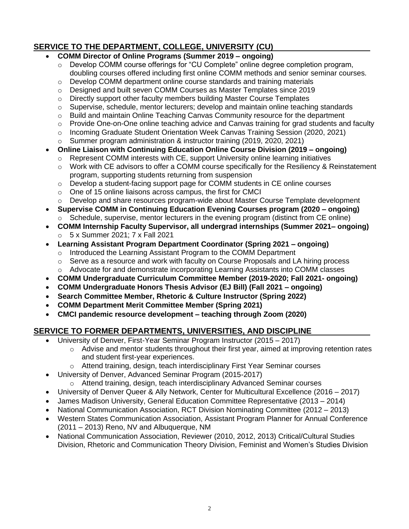# **SERVICE TO THE DEPARTMENT, COLLEGE, UNIVERSITY (CU)**

# • **COMM Director of Online Programs (Summer 2019 – ongoing)**

- o Develop COMM course offerings for "CU Complete" online degree completion program, doubling courses offered including first online COMM methods and senior seminar courses.
- $\circ$  Develop COMM department online course standards and training materials
- $\circ$  Designed and built seven COMM Courses as Master Templates since 2019
- $\circ$  Directly support other faculty members building Master Course Templates
- o Supervise, schedule, mentor lecturers; develop and maintain online teaching standards
- $\circ$  Build and maintain Online Teaching Canvas Community resource for the department
- $\circ$  Provide One-on-One online teaching advice and Canvas training for grad students and faculty
- o Incoming Graduate Student Orientation Week Canvas Training Session (2020, 2021)
- o Summer program administration & instructor training (2019, 2020, 2021)
- **Online Liaison with Continuing Education Online Course Division (2019 – ongoing)** 
	- o Represent COMM interests with CE, support University online learning initiatives
	- o Work with CE advisors to offer a COMM course specifically for the Resiliency & Reinstatement program, supporting students returning from suspension
	- $\circ$  Develop a student-facing support page for COMM students in CE online courses
	- o One of 15 online liaisons across campus, the first for CMCI
	- $\circ$  Develop and share resources program-wide about Master Course Template development
- **Supervise COMM in Continuing Education Evening Courses program (2020 – ongoing)** Schedule, supervise, mentor lecturers in the evening program (distinct from CE online)
- **COMM Internship Faculty Supervisor, all undergrad internships (Summer 2021– ongoing)** o 5 x Summer 2021; 7 x Fall 2021
- **Learning Assistant Program Department Coordinator (Spring 2021 – ongoing)**
	- o Introduced the Learning Assistant Program to the COMM Department
	- o Serve as a resource and work with faculty on Course Proposals and LA hiring process
	- o Advocate for and demonstrate incorporating Learning Assistants into COMM classes
- **COMM Undergraduate Curriculum Committee Member (2019-2020; Fall 2021- ongoing)**
- **COMM Undergraduate Honors Thesis Advisor (EJ Bill) (Fall 2021 – ongoing)**
- **Search Committee Member, Rhetoric & Culture Instructor (Spring 2022)**
- **COMM Department Merit Committee Member (Spring 2021)**
- **CMCI pandemic resource development – teaching through Zoom (2020)**

# **SERVICE TO FORMER DEPARTMENTS, UNIVERSITIES, AND DISCIPLINE**

- University of Denver, First-Year Seminar Program Instructor (2015 2017)
	- $\circ$  Advise and mentor students throughout their first year, aimed at improving retention rates and student first-year experiences.
	- o Attend training, design, teach interdisciplinary First Year Seminar courses
- University of Denver, Advanced Seminar Program (2015-2017)
	- o Attend training, design, teach interdisciplinary Advanced Seminar courses
- University of Denver Queer & Ally Network, Center for Multicultural Excellence (2016 2017)
- James Madison University, General Education Committee Representative (2013 2014)
- National Communication Association, RCT Division Nominating Committee (2012 2013)
- Western States Communication Association, Assistant Program Planner for Annual Conference (2011 – 2013) Reno, NV and Albuquerque, NM
- National Communication Association, Reviewer (2010, 2012, 2013) Critical/Cultural Studies Division, Rhetoric and Communication Theory Division, Feminist and Women's Studies Division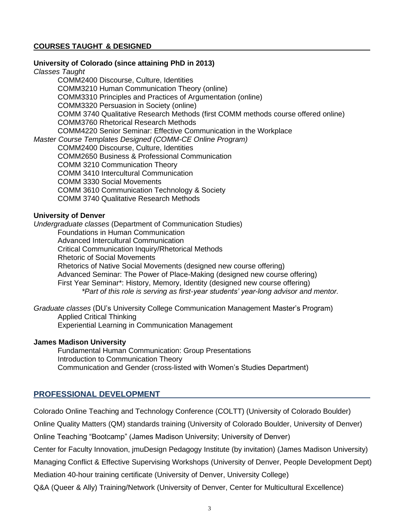# **COURSES TAUGHT & DESIGNED**

#### **University of Colorado (since attaining PhD in 2013)**

*Classes Taught*

COMM2400 Discourse, Culture, Identities COMM3210 Human Communication Theory (online) COMM3310 Principles and Practices of Argumentation (online) COMM3320 Persuasion in Society (online) COMM 3740 Qualitative Research Methods (first COMM methods course offered online) COMM3760 Rhetorical Research Methods COMM4220 Senior Seminar: Effective Communication in the Workplace *Master Course Templates Designed (COMM-CE Online Program)* COMM2400 Discourse, Culture, Identities COMM2650 Business & Professional Communication COMM 3210 Communication Theory COMM 3410 Intercultural Communication COMM 3330 Social Movements COMM 3610 Communication Technology & Society COMM 3740 Qualitative Research Methods

### **University of Denver**

*Undergraduate classes* (Department of Communication Studies) Foundations in Human Communication Advanced Intercultural Communication Critical Communication Inquiry/Rhetorical Methods Rhetoric of Social Movements Rhetorics of Native Social Movements (designed new course offering) Advanced Seminar: The Power of Place-Making (designed new course offering) First Year Seminar\*: History, Memory, Identity (designed new course offering) *\*Part of this role is serving as first-year students' year-long advisor and mentor.*

*Graduate classes* (DU's University College Communication Management Master's Program) Applied Critical Thinking Experiential Learning in Communication Management

## **James Madison University**

Fundamental Human Communication: Group Presentations Introduction to Communication Theory Communication and Gender (cross-listed with Women's Studies Department)

# **PROFESSIONAL DEVELOPMENT**

Colorado Online Teaching and Technology Conference (COLTT) (University of Colorado Boulder)

Online Quality Matters (QM) standards training (University of Colorado Boulder, University of Denver)

Online Teaching "Bootcamp" (James Madison University; University of Denver)

Center for Faculty Innovation, jmuDesign Pedagogy Institute (by invitation) (James Madison University)

Managing Conflict & Effective Supervising Workshops (University of Denver, People Development Dept)

Mediation 40-hour training certificate (University of Denver, University College)

Q&A (Queer & Ally) Training/Network (University of Denver, Center for Multicultural Excellence)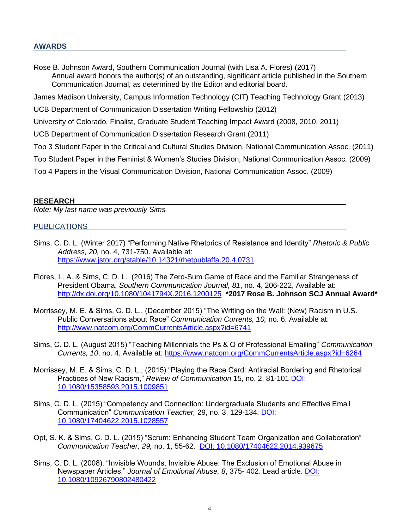### **AWARDS**

Rose B. Johnson Award, Southern Communication Journal (with Lisa A. Flores) (2017) Annual award honors the author(s) of an outstanding, significant article published in the Southern Communication Journal, as determined by the Editor and editorial board.

James Madison University, Campus Information Technology (CIT) Teaching Technology Grant (2013)

UCB Department of Communication Dissertation Writing Fellowship (2012)

University of Colorado, Finalist, Graduate Student Teaching Impact Award (2008, 2010, 2011)

UCB Department of Communication Dissertation Research Grant (2011)

Top 3 Student Paper in the Critical and Cultural Studies Division, National Communication Assoc. (2011)

Top Student Paper in the Feminist & Women's Studies Division, National Communication Assoc. (2009)

Top 4 Papers in the Visual Communication Division, National Communication Assoc. (2009)

### **RESEARCH**

*Note: My last name was previously Sims* 

#### PUBLICATIONS

- Sims, C. D. L. (Winter 2017) "Performing Native Rhetorics of Resistance and Identity" *Rhetoric & Public Address, 20,* no. 4, 731-750. Available at: <https://www.jstor.org/stable/10.14321/rhetpublaffa.20.4.0731>
- Flores, L. A. & Sims, C. D. L. (2016) The Zero-Sum Game of Race and the Familiar Strangeness of President Obama, *Southern Communication Journal, 81*, no. 4, 206-222, Available at: <http://dx.doi.org/10.1080/1041794X.2016.1200125>**\*2017 Rose B. Johnson SCJ Annual Award\***
- Morrissey, M. E. & Sims, C. D. L., (December 2015) "The Writing on the Wall: (New) Racism in U.S. Public Conversations about Race" *Communication Currents, 10,* no. 6. Available at: <http://www.natcom.org/CommCurrentsArticle.aspx?id=6741>
- Sims, C. D. L. (August 2015) "Teaching Millennials the Ps & Q of Professional Emailing" *Communication Currents, 10*, no. 4. Available at:<https://www.natcom.org/CommCurrentsArticle.aspx?id=6264>
- Morrissey, M. E. & Sims, C. D. L., (2015) "Playing the Race Card: Antiracial Bordering and Rhetorical Practices of New Racism," *Review of Communication* 15, no. 2, 81-101 [DOI:](http://www.tandfonline.com/toc/rroc20/15/2) [10.1080/15358593.2015.1009851](http://www.tandfonline.com/toc/rroc20/15/2)
- Sims, C. D. L. (2015) "Competency and Connection: Undergraduate Students and Effective Email Communication" *Communication Teacher,* 29, no. 3, 129-134. [DOI:](http://dx.doi.org/10.1080/17404622.2015.1028557)  [10.1080/17404622.2015.1028557](http://dx.doi.org/10.1080/17404622.2015.1028557)
- Opt, S. K. & Sims, C. D. L. (2015) "Scrum: Enhancing Student Team Organization and Collaboration" *Communication Teacher, 29,* no. 1, 55-62. [DOI: 10.1080/17404622.2014.939675](http://www.tandfonline.com/doi/abs/10.1080/17404622.2014.939675#.VRG3E_nF-Pw)
- Sims, C. D. L. (2008). "Invisible Wounds, Invisible Abuse: The Exclusion of Emotional Abuse in Newspaper Articles," *Journal of Emotional Abuse, 8*, 375- 402. Lead article. [DOI:](http://www.tandfonline.com/doi/abs/10.1080/10926790802480422#.VRG3VfnF-Pw)  [10.1080/10926790802480422](http://www.tandfonline.com/doi/abs/10.1080/10926790802480422#.VRG3VfnF-Pw)